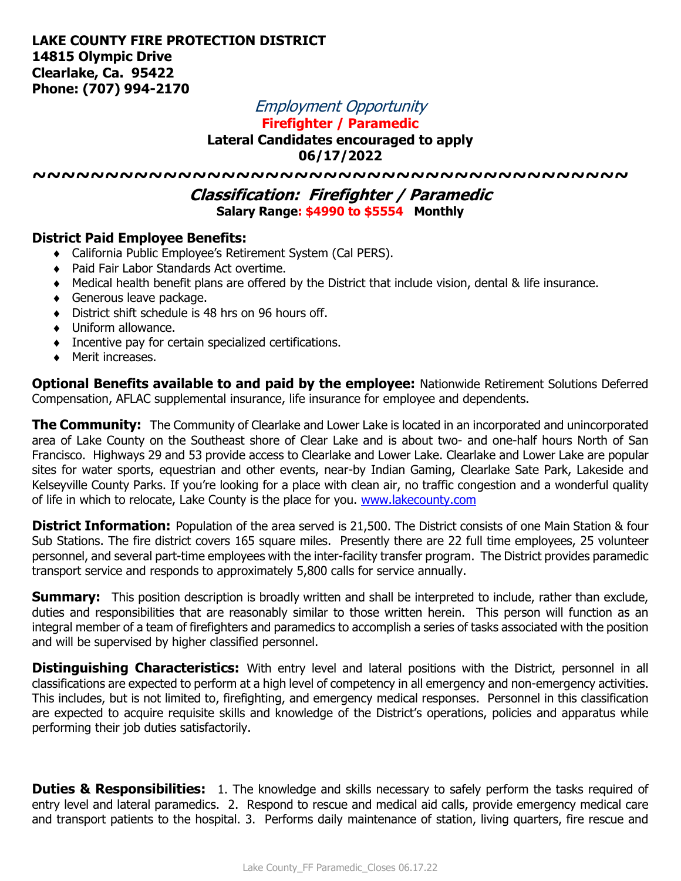Employment Opportunity

**Firefighter / Paramedic**

**Lateral Candidates encouraged to apply**

**06/17/2022**

**~~~~~~~~~~~~~~~~~~~~~~~~~~~~~~~~~~~~~~~~~**

**Classification: Firefighter / Paramedic Salary Range: \$4990 to \$5554 Monthly**

## **District Paid Employee Benefits:**

- California Public Employee's Retirement System (Cal PERS).
- Paid Fair Labor Standards Act overtime.
- Medical health benefit plans are offered by the District that include vision, dental & life insurance.
- ◆ Generous leave package.
- District shift schedule is 48 hrs on 96 hours off.
- Uniform allowance.
- **Incentive pay for certain specialized certifications.**
- Merit increases.

**Optional Benefits available to and paid by the employee:** Nationwide Retirement Solutions Deferred Compensation, AFLAC supplemental insurance, life insurance for employee and dependents.

**The Community:** The Community of Clearlake and Lower Lake is located in an incorporated and unincorporated area of Lake County on the Southeast shore of Clear Lake and is about two- and one-half hours North of San Francisco. Highways 29 and 53 provide access to Clearlake and Lower Lake. Clearlake and Lower Lake are popular sites for water sports, equestrian and other events, near-by Indian Gaming, Clearlake Sate Park, Lakeside and Kelseyville County Parks. If you're looking for a place with clean air, no traffic congestion and a wonderful quality of life in which to relocate, Lake County is the place for you. [www.lakecounty.com](http://www.lakecounty.com/)

**District Information:** Population of the area served is 21,500. The District consists of one Main Station & four Sub Stations. The fire district covers 165 square miles. Presently there are 22 full time employees, 25 volunteer personnel, and several part-time employees with the inter-facility transfer program. The District provides paramedic transport service and responds to approximately 5,800 calls for service annually.

**Summary:** This position description is broadly written and shall be interpreted to include, rather than exclude, duties and responsibilities that are reasonably similar to those written herein. This person will function as an integral member of a team of firefighters and paramedics to accomplish a series of tasks associated with the position and will be supervised by higher classified personnel.

**Distinguishing Characteristics:** With entry level and lateral positions with the District, personnel in all classifications are expected to perform at a high level of competency in all emergency and non-emergency activities. This includes, but is not limited to, firefighting, and emergency medical responses. Personnel in this classification are expected to acquire requisite skills and knowledge of the District's operations, policies and apparatus while performing their job duties satisfactorily.

**Duties & Responsibilities:** 1. The knowledge and skills necessary to safely perform the tasks required of entry level and lateral paramedics. 2. Respond to rescue and medical aid calls, provide emergency medical care and transport patients to the hospital. 3. Performs daily maintenance of station, living quarters, fire rescue and